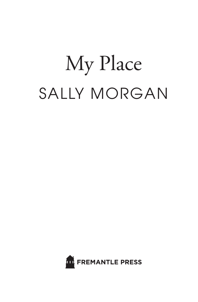# My Place SALLY MORGAN

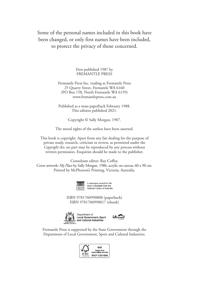#### Some of the personal names included in this book have been changed, or only first names have been included, to protect the privacy of those concerned.

First published 1987 by FREMANTLE PRESS

Fremantle Press Inc. trading as Fremantle Press 25 Quarry Street, Fremantle WA 6160 (PO Box 158, North Fremantle WA 6159) www.fremantlepress.com.au

Published as a mass paperback February 1988. This edition published 2021.

Copyright © Sally Morgan, 1987.

The moral rights of the author have been asserted.

This book is copyright. Apart from any fair dealing for the purpose of private study, research, criticism or review, as permitted under the *Copyright Act*, no part may be reproduced by any process without written permission. Enquiries should be made to the publisher.

Consultant editor: Ray Coffey. Cover artwork: *My Place* by Sally Morgan, 1986, acrylic on canvas, 60 x 90 cm. Printed by McPherson's Printing, Victoria, Australia.



book is available from the<br>National Library of Australia

ISBN 9781760990800 (paperback) ISBN 9781760990817 (ebook)



*<u>Idtervivest*</u>

Fremantle Press is supported by the State Government through the Department of Local Government, Sport and Cultural Industries.

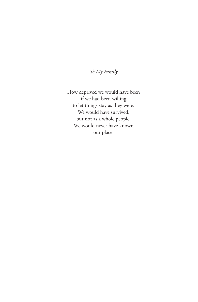#### *To My Family*

How deprived we would have been if we had been willing to let things stay as they were. We would have survived, but not as a whole people. We would never have known our place.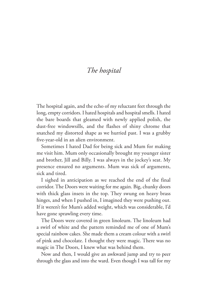### *The hospital*

The hospital again, and the echo of my reluctant feet through the long, empty corridors. I hated hospitals and hospital smells. I hated the bare boards that gleamed with newly applied polish, the dust-free windowsills, and the flashes of shiny chrome that snatched my distorted shape as we hurried past. I was a grubby five-year-old in an alien environment.

Sometimes I hated Dad for being sick and Mum for making me visit him. Mum only occasionally brought my younger sister and brother, Jill and Billy. I was always in the jockey's seat. My presence ensured no arguments. Mum was sick of arguments, sick and tired.

I sighed in anticipation as we reached the end of the final corridor. The Doors were waiting for me again. Big, chunky doors with thick glass insets in the top. They swung on heavy brass hinges, and when I pushed in, I imagined they were pushing out. If it weren't for Mum's added weight, which was considerable, I'd have gone sprawling every time.

The Doors were covered in green linoleum. The linoleum had a swirl of white and the pattern reminded me of one of Mum's special rainbow cakes. She made them a cream colour with a swirl of pink and chocolate. I thought they were magic. There was no magic in The Doors, I knew what was behind them.

Now and then, I would give an awkward jump and try to peer through the glass and into the ward. Even though I was tall for my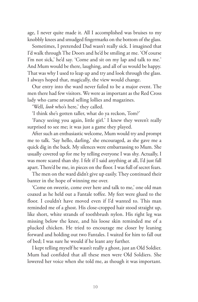age, I never quite made it. All I accomplished was bruises to my knobbly knees and smudged fingermarks on the bottom of the glass.

Sometimes, I pretended Dad wasn't really sick. I imagined that I'd walk through The Doors and he'd be smiling at me. 'Of course I'm not sick,' he'd say. 'Come and sit on my lap and talk to me.' And Mum would be there, laughing, and all of us would be happy. That was why I used to leap up and try and look through the glass. I always hoped that, magically, the view would change.

Our entry into the ward never failed to be a major event. The men there had few visitors. We were as important as the Red Cross lady who came around selling lollies and magazines.

'Well, *look* who's here,' they called.

'I think she's gotten taller, what do ya reckon, Tom?'

'Fancy seeing you again, little girl.' I knew they weren't really surprised to see me; it was just a game they played.

After such an enthusiastic welcome, Mum would try and prompt me to talk. 'Say hello, darling,' she encouraged, as she gave me a quick dig in the back. My silences were embarrassing to Mum. She usually covered up for me by telling everyone I was shy. Actually, I was more scared than shy. I felt if I said anything at all, I'd just fall apart. There'd be me, in pieces on the floor. I was full of secret fears.

The men on the ward didn't give up easily. They continued their banter in the hope of winning me over.

'Come on sweetie, come over here and talk to me,' one old man coaxed as he held out a Fantale toffee. My feet were glued to the floor. I couldn't have moved even if I'd wanted to. This man reminded me of a ghost. His close-cropped hair stood straight up, like short, white strands of toothbrush nylon. His right leg was missing below the knee, and his loose skin reminded me of a plucked chicken. He tried to encourage me closer by leaning forward and holding out two Fantales. I waited for him to fall out of bed; I was sure he would if he leant any further.

I kept telling myself he wasn't really a ghost, just an Old Soldier. Mum had confided that all these men were Old Soldiers. She lowered her voice when she told me, as though it was important.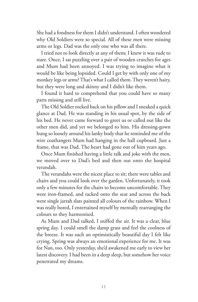She had a fondness for them I didn't understand. I often wondered why Old Soldiers were so special. All of these men were missing arms or legs. Dad was the only one who was all there.

I tried not to look directly at any of them; I knew it was rude to stare. Once, I sat puzzling over a pair of wooden crutches for ages and Mum had been annoyed. I was trying to imagine what it would be like being lopsided. Could I get by with only one of my monkey legs or arms? That's what I called them. They weren't hairy, but they were long and skinny and I didn't like them.

I found it hard to comprehend that you could have so many parts missing and still live.

The Old Soldier rocked back on his pillow and I sneaked a quick glance at Dad. He was standing in his usual spot, by the side of his bed. He never came forward to greet us or called out like the other men did, and yet we belonged to him. His dressing-gown hung so loosely around his lanky body that he reminded me of the wire coathangers Mum had hanging in the hall cupboard. Just a frame, that was Dad. The heart had gone out of him years ago.

Once Mum finished having a little talk and joke with the men, we moved over to Dad's bed and then out onto the hospital verandah.

The verandahs were the nicest place to sit; there were tables and chairs and you could look over the garden. Unfortunately, it took only a few minutes for the chairs to become uncomfortable. They were iron-framed, and tacked onto the seat and across the back were single jarrah slats painted all colours of the rainbow. When I was really bored, I entertained myself by mentally rearranging the colours so they harmonised.

As Mum and Dad talked, I sniffed the air. It was a clear, blue spring day. I could smell the damp grass and feel the coolness of the breeze. It was such an optimistically beautiful day I felt like crying. Spring was always an emotional experience for me. It was for Nan, too. Only yesterday, she'd awakened me early to view her latest discovery. I had been in a deep sleep, but somehow her voice penetrated my dreams.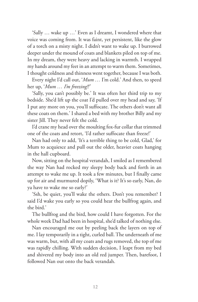'Sally … wake up …' Even as I dreamt, I wondered where that voice was coming from. It was faint, yet persistent, like the glow of a torch on a misty night. I didn't want to wake up. I burrowed deeper under the mound of coats and blankets piled on top of me. In my dream, they were heavy and lacking in warmth. I wrapped my hands around my feet in an attempt to warm them. Sometimes, I thought coldness and thinness went together, because I was both.

Every night I'd call out, '*Mum …* I'm cold.' And then, to speed her up, '*Mum … I'm freezing!!* '

'Sally, you can't possibly be.' It was often her third trip to my bedside. She'd lift up the coat I'd pulled over my head and say, 'If I put any more on you, you'll suffocate. The others don't want all these coats on them.' I shared a bed with my brother Billy and my sister Jill. They never felt the cold.

I'd crane my head over the moulting fox-fur collar that trimmed one of the coats and retort, 'I'd rather suffocate than freeze!'

Nan had only to add, 'It's a terrible thing to be cold, Glad,' for Mum to acquiesce and pull out the older, heavier coats hanging in the hall cupboard.

Now, sitting on the hospital verandah, I smiled as I remembered the way Nan had rocked my sleepy body back and forth in an attempt to wake me up. It took a few minutes, but I finally came up for air and murmured dopily, 'What is it? It's so early, Nan, do ya have to wake me so early?'

'Ssh, be quiet, you'll wake the others. Don't you remember? I said I'd wake you early so you could hear the bullfrog again, and the bird.'

The bullfrog and the bird, how could I have forgotten. For the whole week Dad had been in hospital, she'd talked of nothing else.

Nan encouraged me out by peeling back the layers on top of me. I lay temporarily in a tight, curled ball. The underneath of me was warm, but, with all my coats and rugs removed, the top of me was rapidly chilling. With sudden decision, I leapt from my bed and shivered my body into an old red jumper. Then, barefoot, I followed Nan out onto the back verandah.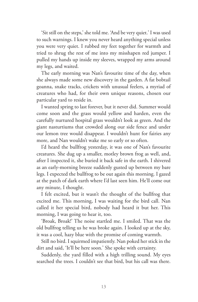'Sit still on the steps,' she told me. 'And be very quiet.' I was used to such warnings. I knew you never heard anything special unless you were very quiet. I rubbed my feet together for warmth and tried to shrug the rest of me into my misshapen red jumper. I pulled my hands up inside my sleeves, wrapped my arms around my legs, and waited.

The early morning was Nan's favourite time of the day, when she always made some new discovery in the garden. A fat bobtail goanna, snake tracks, crickets with unusual feelers, a myriad of creatures who had, for their own unique reasons, chosen our particular yard to reside in.

I wanted spring to last forever, but it never did. Summer would come soon and the grass would yellow and harden, even the carefully nurtured hospital grass wouldn't look as green. And the giant nasturtiums that crowded along our side fence and under our lemon tree would disappear. I wouldn't hunt for fairies any more, and Nan wouldn't wake me so early or so often.

I'd heard the bullfrog yesterday, it was one of Nan's favourite creatures. She dug up a smaller, motley brown frog as well, and, after I inspected it, she buried it back safe in the earth. I shivered as an early-morning breeze suddenly gusted up between my bare legs. I expected the bullfrog to be out again this morning. I gazed at the patch of dark earth where I'd last seen him. He'll come out any minute, I thought.

I felt excited, but it wasn't the thought of the bullfrog that excited me. This morning, I was waiting for the bird call. Nan called it her special bird, nobody had heard it but her. This morning, I was going to hear it, too.

'Broak, Broak!' The noise startled me. I smiled. That was the old bullfrog telling us he was broke again. I looked up at the sky, it was a cool, hazy blue with the promise of coming warmth.

Still no bird. I squirmed impatiently. Nan poked her stick in the dirt and said, 'It'll be here soon.' She spoke with certainty.

Suddenly, the yard filled with a high trilling sound. My eyes searched the trees. I couldn't see that bird, but his call was there.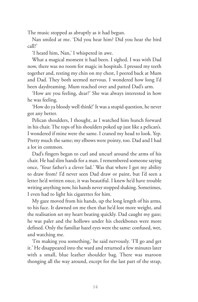The music stopped as abruptly as it had begun.

Nan smiled at me. 'Did you hear him? Did you hear the bird call?'

'I heard him, Nan,' I whispered in awe.

What a magical moment it had been. I sighed. I was with Dad now, there was no room for magic in hospitals. I pressed my teeth together and, resting my chin on my chest, I peered back at Mum and Dad. They both seemed nervous. I wondered how long I'd been daydreaming. Mum reached over and patted Dad's arm.

'How are you feeling, dear?' She was always interested in how he was feeling.

'How do ya bloody well think!' It was a stupid question, he never got any better.

Pelican shoulders, I thought, as I watched him hunch forward in his chair. The tops of his shoulders poked up just like a pelican's. I wondered if mine were the same. I craned my head to look. Yep. Pretty much the same; my elbows were pointy, too. Dad and I had a lot in common.

Dad's fingers began to curl and uncurl around the arms of his chair. He had slim hands for a man. I remembered someone saying once, 'Your father's a clever lad.' Was that where I got my ability to draw from? I'd never seen Dad draw or paint, but I'd seen a letter he'd written once, it was beautiful. I knew he'd have trouble writing anything now, his hands never stopped shaking. Sometimes, I even had to light his cigarettes for him.

My gaze moved from his hands, up the long length of his arms, to his face. It dawned on me then that he'd lost more weight, and the realisation set my heart beating quickly. Dad caught my gaze; he was paler and the hollows under his cheekbones were more defined. Only the familiar hazel eyes were the same: confused, wet, and watching me.

'I'm making you something,' he said nervously. 'I'll go and get it.' He disappeared into the ward and returned a few minutes later with a small, blue leather shoulder bag. There was maroon thonging all the way around, except for the last part of the strap,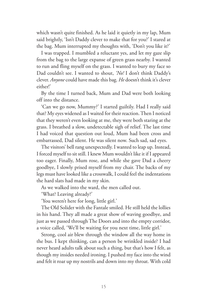which wasn't quite finished. As he laid it quietly in my lap, Mum said brightly, 'Isn't Daddy clever to make that for you?' I stared at the bag. Mum interrupted my thoughts with, 'Don't you like it?'

I was trapped. I mumbled a reluctant yes, and let my gaze slip from the bag to the large expanse of green grass nearby. I wanted to run and fling myself on the grass. I wanted to bury my face so Dad couldn't see. I wanted to shout, *'No!* I don't think Daddy's clever. *Anyone* could have made this bag. *He* doesn't think it's clever either!'

By the time I turned back, Mum and Dad were both looking off into the distance.

'Can we go now, Mummy?' I started guiltily. Had I really said that? My eyes widened as I waited for their reaction. Then I noticed that they weren't even looking at me, they were both staring at the grass. I breathed a slow, undetectable sigh of relief. The last time I had voiced that question out loud, Mum had been cross and embarrassed, Dad silent. He was silent now. Such sad, sad eyes.

The visitors' bell rang unexpectedly. I wanted to leap up. Instead, I forced myself to sit still. I knew Mum wouldn't like it if I appeared too eager. Finally, Mum rose, and while she gave Dad a cheery goodbye, I slowly prised myself from my chair. The backs of my legs must have looked like a crosswalk, I could feel the indentations the hard slats had made in my skin.

As we walked into the ward, the men called out.

'What? Leaving already?'

'You weren't here for long, little girl.'

The Old Solider with the Fantale smiled. He still held the lollies in his hand. They all made a great show of waving goodbye, and just as we passed through The Doors and into the empty corridor, a voice called, 'We'll be waiting for you next time, little girl.'

Strong, cool air blew through the window all the way home in the bus. I kept thinking, can a person be wrinkled inside? I had never heard adults talk about such a thing, but that's how I felt, as though my insides needed ironing. I pushed my face into the wind and felt it roar up my nostrils and down into my throat. With cold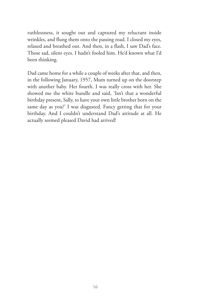ruthlessness, it sought out and captured my reluctant inside wrinkles, and flung them onto the passing road. I closed my eyes, relaxed and breathed out. And then, in a flash, I saw Dad's face. Those sad, silent eyes. I hadn't fooled him. He'd known what I'd been thinking.

Dad came home for a while a couple of weeks after that, and then, in the following January, 1957, Mum turned up on the doorstep with another baby. Her fourth. I was really cross with her. She showed me the white bundle and said, 'Isn't that a wonderful birthday present, Sally, to have your own little brother born on the same day as you?' I was disgusted. Fancy getting that for your birthday. And I couldn't understand Dad's attitude at all. He actually seemed pleased David had arrived!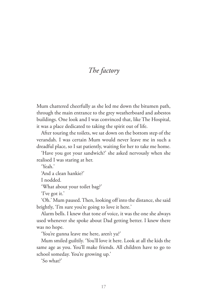## *The factory*

Mum chattered cheerfully as she led me down the bitumen path, through the main entrance to the grey weatherboard and asbestos buildings. One look and I was convinced that, like The Hospital, it was a place dedicated to taking the spirit out of life.

After touring the toilets, we sat down on the bottom step of the verandah. I was certain Mum would never leave me in such a dreadful place, so I sat patiently, waiting for her to take me home.

'Have you got your sandwich?' she asked nervously when she realised I was staring at her.

'Yeah.'

'And a clean hankie?'

I nodded.

'What about your toilet bag?'

'I've got it.'

'Oh.' Mum paused. Then, looking off into the distance, she said brightly, 'I'm sure you're going to love it here.'

Alarm bells. I knew that tone of voice, it was the one she always used whenever she spoke about Dad getting better. I knew there was no hope.

'You're gunna leave me here, aren't ya?'

Mum smiled guiltily. 'You'll love it here. Look at all the kids the same age as you. You'll make friends. All children have to go to school someday. You're growing up.'

'So what?'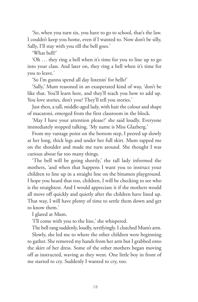'So, when you turn six, you have to go to school, that's the law. I couldn't keep you home, even if I wanted to. Now don't be silly, Sally, I'll stay with you till the bell goes.'

'What bell?'

'Oh … they ring a bell when it's time for you to line up to go into your class. And later on, they ring a bell when it's time for you to leave.'

'So I'm gunna spend all day listenin' for bells?'

'Sally,' Mum reasoned in an exasperated kind of way, 'don't be like that. You'll learn here, and they'll teach you how to add up. You love stories, don't you? They'll tell you stories.'

Just then, a tall, middle-aged lady, with hair the colour and shape of macaroni, emerged from the first classroom in the block.

'May I have your attention please?' she said loudly. Everyone immediately stopped talking. 'My name is Miss Glazberg.'

From my vantage point on the bottom step, I peered up slowly at her long, thick legs and under her full skirt. Mum tapped me on the shoulder and made me turn around. She thought I was curious about far too many things.

'The bell will be going shortly,' the tall lady informed the mothers, 'and when that happens I want you to instruct your children to line up in a straight line on the bitumen playground. I hope you heard that too, children, I will be checking to see who is the straightest. And I would appreciate it if the mothers would all move off quickly and quietly after the children have lined up. That way, I will have plenty of time to settle them down and get to know them.'

I glared at Mum.

'I'll come with you to the line,' she whispered.

The bell rang suddenly, loudly, terrifyingly. I clutched Mum's arm.

Slowly, she led me to where the other children were beginning to gather. She removed my hands from her arm but I grabbed onto the skirt of her dress. Some of the other mothers began moving off as instructed, waving as they went. One little boy in front of me started to cry. Suddenly I wanted to cry, too.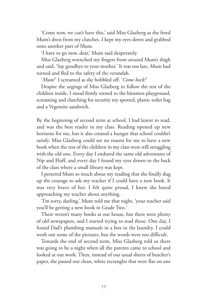'Come now, we can't have this,' said Miss Glazberg as she freed Mum's dress from my clutches. I kept my eyes down and grabbed onto another part of Mum.

'I have to go now, dear,' Mum said desperately.

Miss Glazberg wrenched my fingers from around Mum's thigh and said, 'Say goodbye to your mother.' It was too late, Mum had turned and fled to the safety of the verandah.

'*Mum!*' I screamed as she hobbled off. '*Come back!*'

Despite the urgings of Miss Glazberg to follow the rest of the children inside, I stood firmly rooted to the bitumen playground, screaming and clutching for security my spotted, plastic toilet bag and a Vegemite sandwich.

By the beginning of second term at school, I had learnt to read, and was the best reader in my class. Reading opened up new horizons for me, but it also created a hunger that school couldn't satisfy. Miss Glazberg could see no reason for me to have a new book when the rest of the children in my class were still struggling with the old one. Every day I endured the same old adventures of Nip and Fluff, and every day I found my eyes drawn to the back of the class where a small library was kept.

I pestered Mum so much about my reading that she finally dug up the courage to ask my teacher if I could have a new book. It was very brave of her. I felt quite proud, I knew she hated approaching my teacher about anything.

'I'm sorry, darling,' Mum told me that night, 'your teacher said you'll be getting a new book in Grade Two.'

There weren't many books at our house, but there were plenty of old newspapers, and I started trying to read those. One day, I found Dad's plumbing manuals in a box in the laundry. I could work out some of the pictures, but the words were too difficult.

Towards the end of second term, Miss Glazberg told us there was going to be a night when all the parents came to school and looked at our work. Then, instead of our usual sheets of butcher's paper, she passed out clean, white rectangles that were flat on one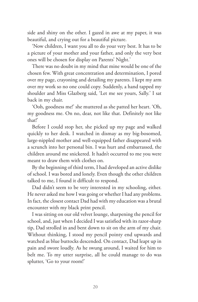side and shiny on the other. I gazed in awe at my paper, it was beautiful, and crying out for a beautiful picture.

'Now children, I want you all to do your very best. It has to be a picture of your mother and your father, and only the very best ones will be chosen for display on Parents' Night.'

There was no doubt in my mind that mine would be one of the chosen few. With great concentration and determination, I pored over my page, crayoning and detailing my parents. I kept my arm over my work so no one could copy. Suddenly, a hand tapped my shoulder and Miss Glazberg said, 'Let me see yours, Sally.' I sat back in my chair.

'Ooh, goodness me!' she muttered as she patted her heart. 'Oh, my goodness me. On no, dear, not like that. Definitely not like that!'

Before I could stop her, she picked up my page and walked quickly to her desk. I watched in dismay as my big-bosomed, large-nippled mother and well-equipped father disappeared with a scrunch into her personal bin. I was hurt and embarrassed, the children around me snickered. It hadn't occurred to me you were meant to draw them with clothes on.

By the beginning of third term, I had developed an active dislike of school. I was bored and lonely. Even though the other children talked to me, I found it difficult to respond.

Dad didn't seem to be very interested in my schooling, either. He never asked me how I was going or whether I had any problems. In fact, the closest contact Dad had with my education was a brutal encounter with my black print pencil.

I was sitting on our old velvet lounge, sharpening the pencil for school, and, just when I decided I was satisfied with its razor-sharp tip, Dad strolled in and bent down to sit on the arm of my chair. Without thinking, I stood my pencil pointy end upwards and watched as blue buttocks descended. On contact, Dad leapt up in pain and swore loudly. As he swung around, I waited for him to belt me. To my utter surprise, all he could manage to do was splutter, 'Go to your room!'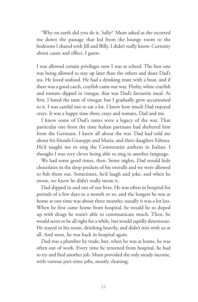'Why on earth did you do it, Sally?' Mum asked as she escorted me down the passage that led from the lounge room to the bedroom I shared with Jill and Billy. I didn't really know. Curiosity about cause and effect, I guess.

I was allowed certain privileges now I was at school. The best one was being allowed to stay up later than the others and share Dad's tea. He loved seafood. He had a drinking mate with a boat, and if there was a good catch, crayfish came our way. Fleshy, white crayfish and tomato dipped in vinegar, that was Dad's favourite meal. At first, I hated the taste of vinegar, but I gradually grew accustomed to it. I was careful not to eat a lot. I knew how much Dad enjoyed crays. It was a happy time then; crays and tomato, Dad and me.

I knew some of Dad's tastes were a legacy of the war. That particular one from the time Italian partisans had sheltered him from the Germans. I knew all about the war. Dad had told me about his friends Giuseppe and Maria, and their daughter Edmea. He'd taught me to sing the Communist anthem in Italian. I thought I was very clever being able to sing in another language.

We had some good times, then. Some nights, Dad would hide chocolates in the deep pockets of his overalls and we were allowed to fish them out. Sometimes, he'd laugh and joke, and when he swore, we knew he didn't really mean it.

Dad slipped in and out of our lives. He was often in hospital for periods of a few days to a month or so, and the longest he was at home at one time was about three months; usually it was a lot less. When he first came home from hospital, he would be so doped up with drugs he wasn't able to communicate much. Then, he would seem to be all right for a while, but would rapidly deteriorate. He stayed in his room, drinking heavily, and didn't mix with us at all. And soon, he was back in hospital again.

Dad was a plumber by trade, but, when he was at home, he was often out of work. Every time he returned from hospital, he had to try and find another job. Mum provided the only steady income, with various part-time jobs, mostly cleaning.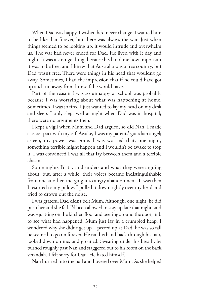When Dad was happy, I wished he'd never change. I wanted him to be like that forever, but there was always the war. Just when things seemed to be looking up, it would intrude and overwhelm us. The war had never ended for Dad. He lived with it day and night. It was a strange thing, because he'd told me how important it was to be free, and I knew that Australia was a free country, but Dad wasn't free. There were things in his head that wouldn't go away. Sometimes, I had the impression that if he could have got up and run away from himself, he would have.

Part of the reason I was so unhappy at school was probably because I was worrying about what was happening at home. Sometimes, I was so tired I just wanted to lay my head on my desk and sleep. I only slept well at night when Dad was in hospital; there were no arguments then.

I kept a vigil when Mum and Dad argued, so did Nan. I made a secret pact with myself. Awake, I was my parents' guardian angel; asleep, my power was gone. I was worried that, one night, something terrible might happen and I wouldn't be awake to stop it. I was convinced I was all that lay between them and a terrible chasm.

Some nights I'd try and understand what they were arguing about, but, after a while, their voices became indistinguishable from one another, merging into angry abandonment. It was then I resorted to my pillow. I pulled it down tightly over my head and tried to drown out the noise.

I was grateful Dad didn't belt Mum. Although, one night, he did push her and she fell. I'd been allowed to stay up late that night, and was squatting on the kitchen floor and peering around the doorjamb to see what had happened. Mum just lay in a crumpled heap. I wondered why she didn't get up. I peered up at Dad, he was so tall he seemed to go on forever. He ran his hand back through his hair, looked down on me, and groaned. Swearing under his breath, he pushed roughly past Nan and staggered out to his room on the back verandah. I felt sorry for Dad. He hated himself.

Nan hurried into the hall and hovered over Mum. As she helped